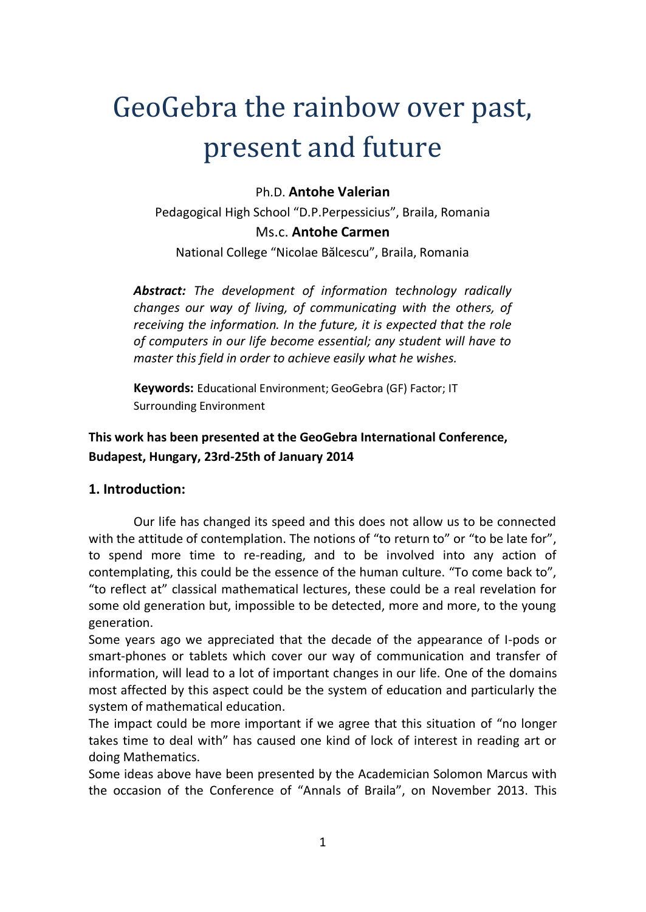# GeoGebra the rainbow over past, present and future

## Ph.D. **Antohe Valerian**

Pedagogical High School "D.P.Perpessicius", Braila, Romania

### Ms.c. **Antohe Carmen**

### National College "Nicolae Bălcescu", Braila, Romania

*Abstract: The development of information technology radically changes our way of living, of communicating with the others, of receiving the information. In the future, it is expected that the role of computers in our life become essential; any student will have to master this field in order to achieve easily what he wishes.* 

**Keywords:** Educational Environment; GeoGebra (GF) Factor; IT Surrounding Environment

## **This work has been presented at the GeoGebra International Conference, Budapest, Hungary, 23rd-25th of January 2014**

## **1. Introduction:**

Our life has changed its speed and this does not allow us to be connected with the attitude of contemplation. The notions of "to return to" or "to be late for", to spend more time to re-reading, and to be involved into any action of contemplating, this could be the essence of the human culture. "To come back to", "to reflect at" classical mathematical lectures, these could be a real revelation for some old generation but, impossible to be detected, more and more, to the young generation.

Some years ago we appreciated that the decade of the appearance of I-pods or smart-phones or tablets which cover our way of communication and transfer of information, will lead to a lot of important changes in our life. One of the domains most affected by this aspect could be the system of education and particularly the system of mathematical education.

The impact could be more important if we agree that this situation of "no longer takes time to deal with" has caused one kind of lock of interest in reading art or doing Mathematics.

Some ideas above have been presented by the Academician Solomon Marcus with the occasion of the Conference of "Annals of Braila", on November 2013. This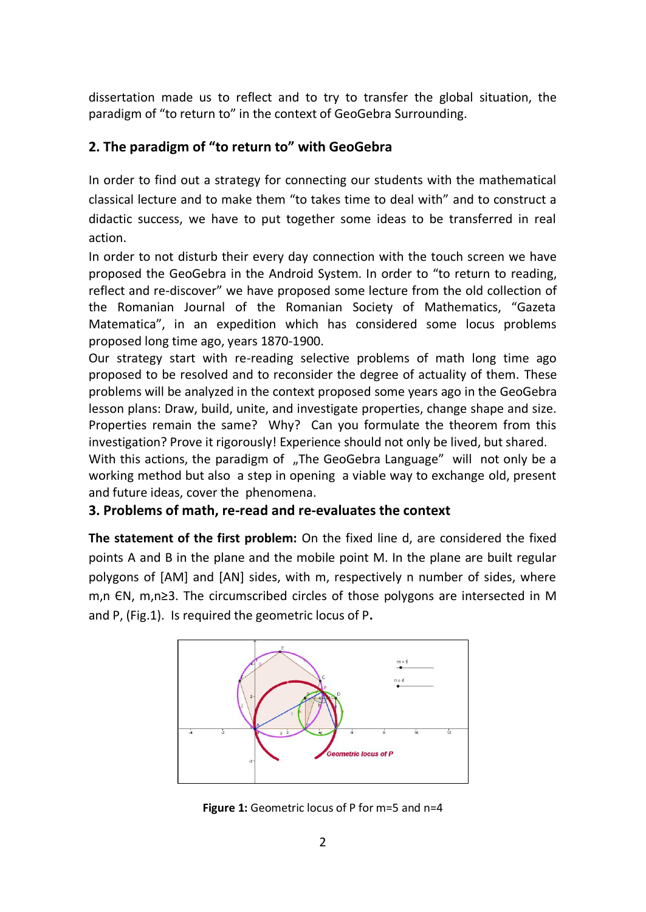dissertation made us to reflect and to try to transfer the global situation, the paradigm of "to return to" in the context of GeoGebra Surrounding.

# **2. The paradigm of "to return to" with GeoGebra**

In order to find out a strategy for connecting our students with the mathematical classical lecture and to make them "to takes time to deal with" and to construct a didactic success, we have to put together some ideas to be transferred in real action.

In order to not disturb their every day connection with the touch screen we have proposed the GeoGebra in the Android System. In order to "to return to reading, reflect and re-discover" we have proposed some lecture from the old collection of the Romanian Journal of the Romanian Society of Mathematics, "Gazeta Matematica", in an expedition which has considered some locus problems proposed long time ago, years 1870-1900.

Our strategy start with re-reading selective problems of math long time ago proposed to be resolved and to reconsider the degree of actuality of them. These problems will be analyzed in the context proposed some years ago in the GeoGebra lesson plans: Draw, build, unite, and investigate properties, change shape and size. Properties remain the same? Why? Can you formulate the theorem from this investigation? Prove it rigorously! Experience should not only be lived, but shared.

With this actions, the paradigm of "The GeoGebra Language" will not only be a working method but also a step in opening a viable way to exchange old, present and future ideas, cover the phenomena.

## **3. Problems of math, re-read and re-evaluates the context**

**The statement of the first problem:** On the fixed line d, are considered the fixed points A and B in the plane and the mobile point M. In the plane are built regular polygons of [AM] and [AN] sides, with m, respectively n number of sides, where m,n ЄN, m,n≥3. The circumscribed circles of those polygons are intersected in M and P, (Fig.1). Is required the geometric locus of P**.**



**Figure 1:** Geometric locus of P for m=5 and n=4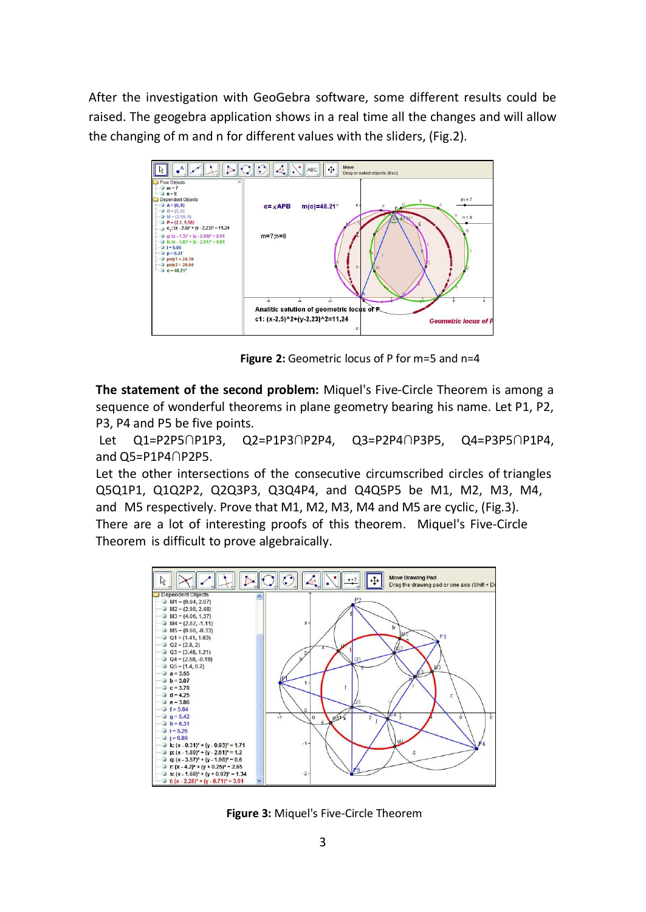After the investigation with GeoGebra software, some different results could be raised. The geogebra application shows in a real time all the changes and will allow the changing of m and n for different values with the sliders, (Fig.2).



**Figure 2:** Geometric locus of P for m=5 and n=4

**The statement of the second problem:** Miquel's Five-Circle Theorem is among a sequence of wonderful theorems in plane geometry bearing his name. Let P1, P2, P3, P4 and P5 be five points.

Let Q1=P2P5∩P1P3, Q2=P1P3∩P2P4, Q3=P2P4∩P3P5, Q4=P3P5∩P1P4, and Q5=P1P4∩P2P5.

Let the other intersections of the consecutive circumscribed circles of triangles Q5Q1P1, Q1Q2P2, Q2Q3P3, Q3Q4P4, and Q4Q5P5 be M1, M2, M3, M4, and M5 respectively. Prove that M1, M2, M3, M4 and M5 are cyclic, (Fig.3). There are a lot of interesting proofs of this theorem. Miquel's Five-Circle Theorem is difficult to prove algebraically.



**Figure 3:** Miquel's Five-Circle Theorem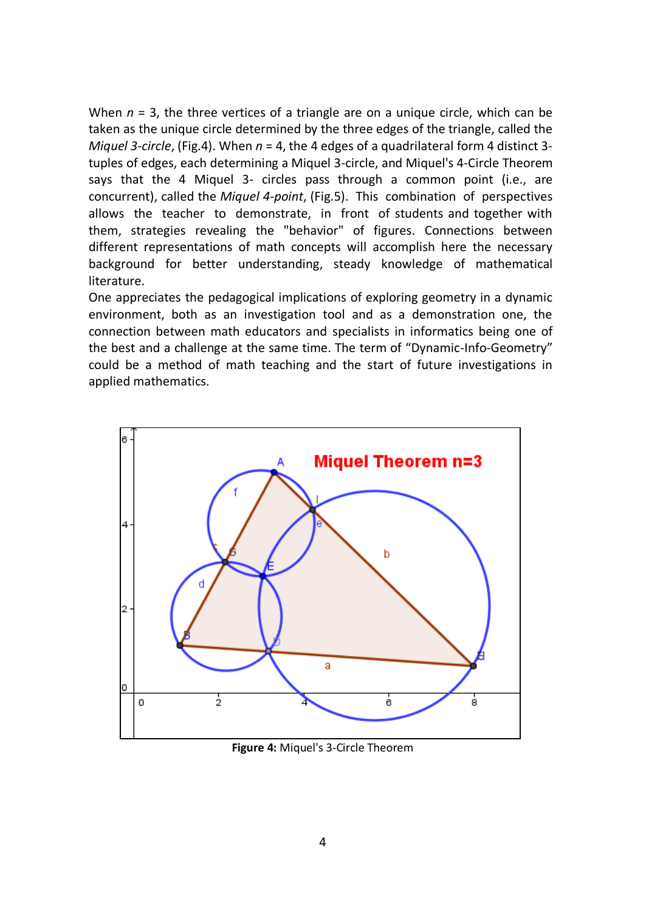When  $n = 3$ , the three vertices of a triangle are on a unique circle, which can be taken as the unique circle determined by the three edges of the triangle, called the *Miquel 3-circle*, (Fig.4). When *n* = 4, the 4 edges of a quadrilateral form 4 distinct 3 tuples of edges, each determining a Miquel 3-circle, and Miquel's 4-Circle Theorem says that the 4 Miquel 3- circles pass through a common point (i.e., are concurrent), called the *Miquel 4-point*, (Fig.5). This combination of perspectives allows the teacher to demonstrate, in front of students and together with them, strategies revealing the "behavior" of figures. Connections between different representations of math concepts will accomplish here the necessary background for better understanding, steady knowledge of mathematical literature.

One appreciates the pedagogical implications of exploring geometry in a dynamic environment, both as an investigation tool and as a demonstration one, the connection between math educators and specialists in informatics being one of the best and a challenge at the same time. The term of "Dynamic-Info-Geometry" could be a method of math teaching and the start of future investigations in applied mathematics.



**Figure 4:** Miquel's 3-Circle Theorem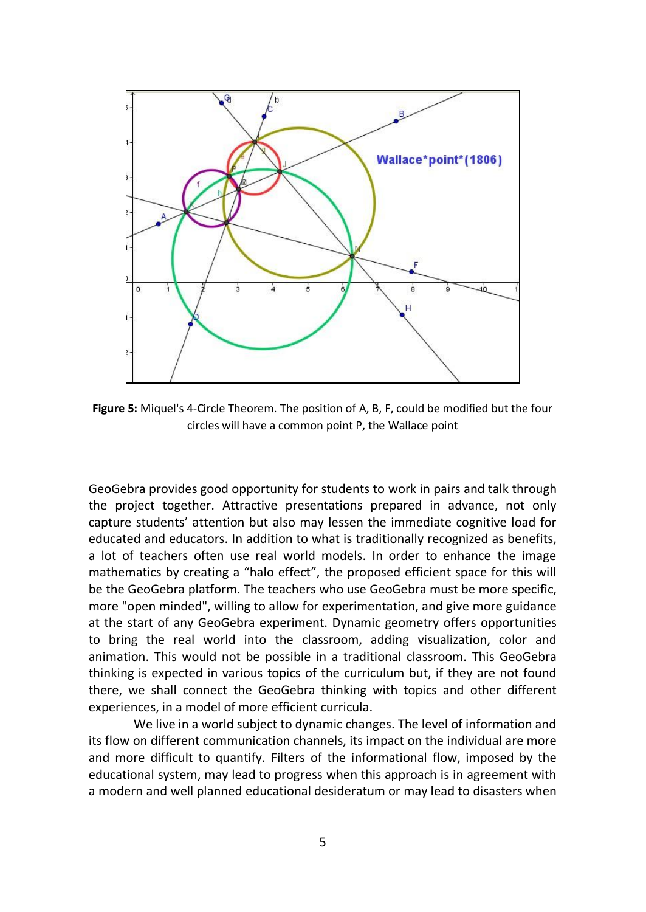

**Figure 5:** Miquel's 4-Circle Theorem. The position of A, B, F, could be modified but the four circles will have a common point P, the Wallace point

GeoGebra provides good opportunity for students to work in pairs and talk through the project together. Attractive presentations prepared in advance, not only capture students' attention but also may lessen the immediate cognitive load for educated and educators. In addition to what is traditionally recognized as benefits, a lot of teachers often use real world models. In order to enhance the image mathematics by creating a "halo effect", the proposed efficient space for this will be the GeoGebra platform. The teachers who use GeoGebra must be more specific, more "open minded", willing to allow for experimentation, and give more guidance at the start of any GeoGebra experiment. Dynamic geometry offers opportunities to bring the real world into the classroom, adding visualization, color and animation. This would not be possible in a traditional classroom. This GeoGebra thinking is expected in various topics of the curriculum but, if they are not found there, we shall connect the GeoGebra thinking with topics and other different experiences, in a model of more efficient curricula.

We live in a world subject to dynamic changes. The level of information and its flow on different communication channels, its impact on the individual are more and more difficult to quantify. Filters of the informational flow, imposed by the educational system, may lead to progress when this approach is in agreement with a modern and well planned educational desideratum or may lead to disasters when